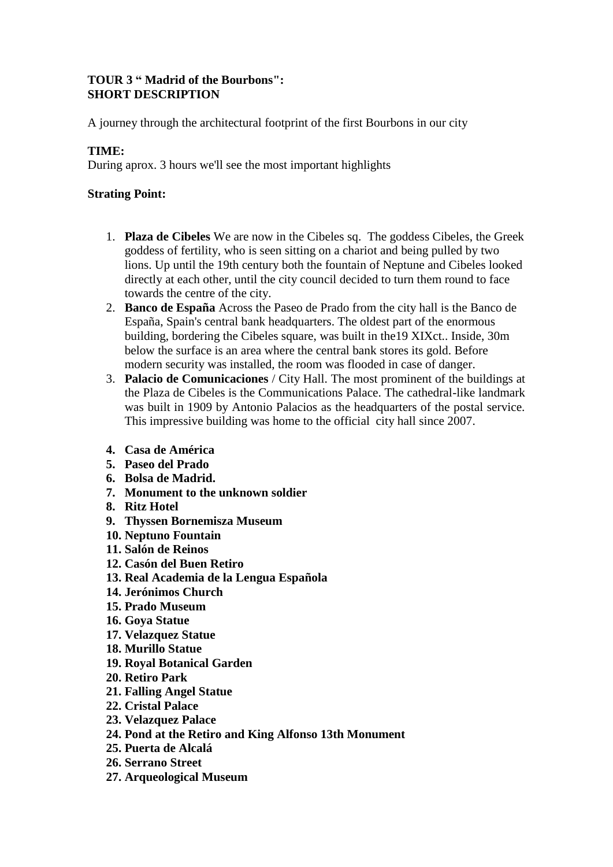## **TOUR 3 " Madrid of the Bourbons": SHORT DESCRIPTION**

A journey through the architectural footprint of the first Bourbons in our city

## **TIME:**

During aprox. 3 hours we'll see the most important highlights

## **Strating Point:**

- 1. **Plaza de Cibeles** We are now in the Cibeles sq. The goddess Cibeles, the Greek goddess of fertility, who is seen sitting on a chariot and being pulled by two lions. Up until the 19th century both the fountain of Neptune and Cibeles looked directly at each other, until the city council decided to turn them round to face towards the centre of the city.
- 2. **Banco de España** Across the Paseo de Prado from the city hall is the Banco de España, Spain's central bank headquarters. The oldest part of the enormous building, bordering the Cibeles square, was built in the19 XIXct.. Inside, 30m below the surface is an area where the central bank stores its gold. Before modern security was installed, the room was flooded in case of danger.
- 3. **Palacio de Comunicaciones** / City Hall. The most prominent of the buildings at the Plaza de Cibeles is the Communications Palace. The cathedral-like landmark was built in 1909 by Antonio Palacios as the headquarters of the postal service. This impressive building was home to the official city hall since 2007.
- **4. Casa de América**
- **5. Paseo del Prado**
- **6. Bolsa de Madrid.**
- **7. Monument to the unknown soldier**
- **8. Ritz Hotel**
- **9. Thyssen Bornemisza Museum**
- **10. Neptuno Fountain**
- **11. Salón de Reinos**
- **12. Casón del Buen Retiro**
- **13. Real Academia de la Lengua Española**
- **14. Jerónimos Church**
- **15. Prado Museum**
- **16. Goya Statue**
- **17. Velazquez Statue**
- **18. Murillo Statue**
- **19. Royal Botanical Garden**
- **20. Retiro Park**
- **21. Falling Angel Statue**
- **22. Cristal Palace**
- **23. Velazquez Palace**
- **24. Pond at the Retiro and King Alfonso 13th Monument**
- **25. Puerta de Alcalá**
- **26. Serrano Street**
- **27. Arqueological Museum**